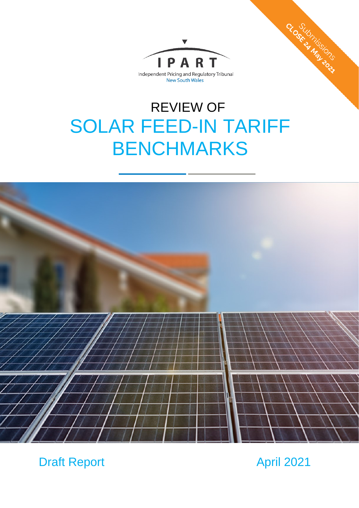

# REVIEW OF SOLAR FEED-IN TARIFF BENCHMARKS



Draft Report April 2021

CLOSE ON TISSICAL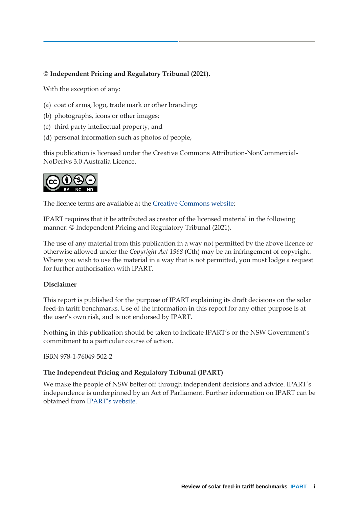### **© Independent Pricing and Regulatory Tribunal (2021).**

With the exception of any:

- (a) coat of arms, logo, trade mark or other branding;
- (b) photographs, icons or other images;
- (c) third party intellectual property; and
- (d) personal information such as photos of people,

this publication is licensed under the Creative Commons Attribution-NonCommercial-NoDerivs 3.0 Australia Licence.



The licence terms are available at the [Creative Commons website:](https://creativecommons.org/licenses/by-nc-nd/3.0/au/legalcode)

IPART requires that it be attributed as creator of the licensed material in the following manner: © Independent Pricing and Regulatory Tribunal (2021).

The use of any material from this publication in a way not permitted by the above licence or otherwise allowed under the *Copyright Act 1968* (Cth) may be an infringement of copyright. Where you wish to use the material in a way that is not permitted, you must lodge a request for further authorisation with IPART.

#### **Disclaimer**

This report is published for the purpose of IPART explaining its draft decisions on the solar feed-in tariff benchmarks. Use of the information in this report for any other purpose is at the user's own risk, and is not endorsed by IPART.

Nothing in this publication should be taken to indicate IPART's or the NSW Government's commitment to a particular course of action.

ISBN 978-1-76049-502-2

#### **The Independent Pricing and Regulatory Tribunal (IPART)**

We make the people of NSW better off through independent decisions and advice. IPART's independence is underpinned by an Act of Parliament. Further information on IPART can be obtained from [IPART's](https://www.ipart.nsw.gov.au/Home) website.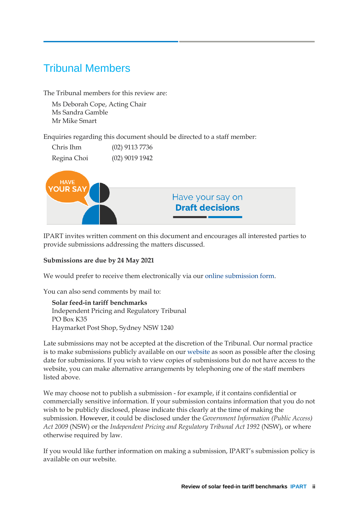# Tribunal Members

The Tribunal members for this review are:

Ms Deborah Cope, Acting Chair Ms Sandra Gamble Mr Mike Smart

Enquiries regarding this document should be directed to a staff member:

| Chris Ihm   | $(02)$ 9113 7736 |
|-------------|------------------|
| Regina Choi | $(02)$ 9019 1942 |



IPART invites written comment on this document and encourages all interested parties to provide submissions addressing the matters discussed.

### **Submissions are due by 24 May 2021**

We would prefer to receive them electronically via our [online submission form.](http://www.ipart.nsw.gov.au/Home/Consumer_Information/Lodge_a_submission)

You can also send comments by mail to:

**Solar feed-in tariff benchmarks** Independent Pricing and Regulatory Tribunal PO Box K35 Haymarket Post Shop, Sydney NSW 1240

Late submissions may not be accepted at the discretion of the Tribunal. Our normal practice is to make submissions publicly available on our [website](http://www.ipart.nsw.gov.au/) as soon as possible after the closing date for submissions. If you wish to view copies of submissions but do not have access to the website, you can make alternative arrangements by telephoning one of the staff members listed above.

We may choose not to publish a submission - for example, if it contains confidential or commercially sensitive information. If your submission contains information that you do not wish to be publicly disclosed, please indicate this clearly at the time of making the submission. However, it could be disclosed under the *Government Information (Public Access) Act 2009* (NSW) or the *Independent Pricing and Regulatory Tribunal Act 1992* (NSW), or where otherwise required by law.

If you would like further information on making a submission, IPART's submission policy is available on our website.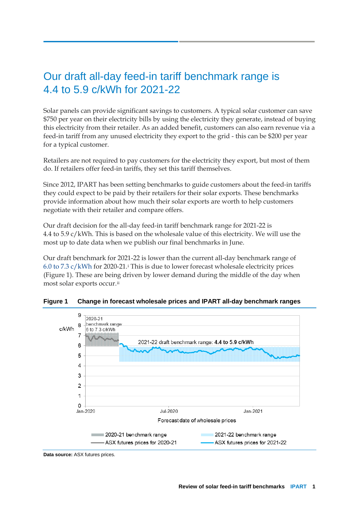# Our draft all-day feed-in tariff benchmark range is 4.4 to 5.9 c/kWh for 2021-22

Solar panels can provide significant savings to customers. A typical solar customer can save \$750 per year on their electricity bills by using the electricity they generate, instead of buying this electricity from their retailer. As an added benefit, customers can also earn revenue via a feed-in tariff from any unused electricity they export to the grid - this can be \$200 per year for a typical customer.

Retailers are not required to pay customers for the electricity they export, but most of them do. If retailers offer feed-in tariffs, they set this tariff themselves.

Since 2012, IPART has been setting benchmarks to guide customers about the feed-in tariffs they could expect to be paid by their retailers for their solar exports. These benchmarks provide information about how much their solar exports are worth to help customers negotiate with their retailer and compare offers.

Our draft decision for the all-day feed-in tariff benchmark range for 2021-22 is 4.4 to 5.9 c/kWh. This is based on the wholesale value of this electricity. We will use the most up to date data when we publish our final benchmarks in June.

Our draft benchmark for 2021-22 is lower than the current all-day benchmark range of 6.0 to 7.3  $c/kWh$  for 2020-21.<sup>[i](#page-22-0)</sup> This is due to lower forecast wholesale electricity prices (Figure 1). These are being driven by lower demand during the middle of the day when most solar exports occur.[ii](#page-22-1)



**Figure 1 Change in forecast wholesale prices and IPART all-day benchmark ranges**

**Data source:** ASX futures prices.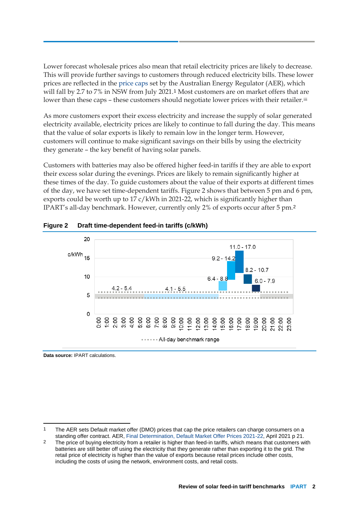Lower forecast wholesale prices also mean that retail electricity prices are likely to decrease. This will provide further savings to customers through reduced electricity bills. These lower prices are reflected in the [price caps](https://www.aer.gov.au/retail-markets/guidelines-reviews/retail-electricity-prices-review-determination-of-default-market-offer-prices-2021-22) set by the Australian Energy Regulator (AER), which will fall by 2.7 to 7% in NSW from July 2021.[1](#page-4-0) Most customers are on market offers that are lower than these caps – these customers should negotiate lower prices with their retailer.<sup>[iii](#page-22-2)</sup>

As more customers export their excess electricity and increase the supply of solar generated electricity available, electricity prices are likely to continue to fall during the day. This means that the value of solar exports is likely to remain low in the longer term. However, customers will continue to make significant savings on their bills by using the electricity they generate – the key benefit of having solar panels.

Customers with batteries may also be offered higher feed-in tariffs if they are able to export their excess solar during the evenings. Prices are likely to remain significantly higher at these times of the day. To guide customers about the value of their exports at different times of the day, we have set time-dependent tariffs. Figure 2 shows that between 5 pm and 6 pm, exports could be worth up to 17 c/kWh in 2021-22, which is significantly higher than IPART's all-day benchmark. However, currently only 2% of exports occur after 5 pm.[2](#page-4-1)





**Data source:** IPART calculations.

<span id="page-4-0"></span><sup>&</sup>lt;sup>1</sup> The AER sets Default market offer (DMO) prices that cap the price retailers can charge consumers on a standing offer contract. AER, [Final Determination, Default Market Offer Prices 2021-22,](https://www.aer.gov.au/system/files/AER%20-%20Default%20Market%20Offer%20-%20Price%20determination%202021-22%20Final%20Determination%20-%2027%20April%202021.pdf) April 2021 p 21.

<span id="page-4-1"></span><sup>&</sup>lt;sup>2</sup> The price of buying electricity from a retailer is higher than feed-in tariffs, which means that customers with batteries are still better off using the electricity that they generate rather than exporting it to the grid. The retail price of electricity is higher than the value of exports because retail prices include other costs, including the costs of using the network, environment costs, and retail costs.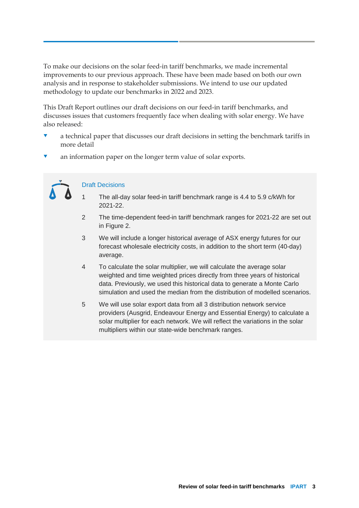To make our decisions on the solar feed-in tariff benchmarks, we made incremental improvements to our previous approach. These have been made based on both our own analysis and in response to stakeholder submissions. We intend to use our updated methodology to update our benchmarks in 2022 and 2023.

This Draft Report outlines our draft decisions on our feed-in tariff benchmarks, and discusses issues that customers frequently face when dealing with solar energy. We have also released:

- a technical paper that discusses our draft decisions in setting the benchmark tariffs in more detail
- an information paper on the longer term value of solar exports.

#### Draft Decisions

- 1 The all-day solar feed-in tariff benchmark range is 4.4 to 5.9 c/kWh for 2021-22.
- 2 The time-dependent feed-in tariff benchmark ranges for 2021-22 are set out in Figure 2.
- 3 We will include a longer historical average of ASX energy futures for our forecast wholesale electricity costs, in addition to the short term (40-day) average.
- 4 To calculate the solar multiplier, we will calculate the average solar weighted and time weighted prices directly from three years of historical data. Previously, we used this historical data to generate a Monte Carlo simulation and used the median from the distribution of modelled scenarios.
- 5 We will use solar export data from all 3 distribution network service providers (Ausgrid, Endeavour Energy and Essential Energy) to calculate a solar multiplier for each network. We will reflect the variations in the solar multipliers within our state-wide benchmark ranges.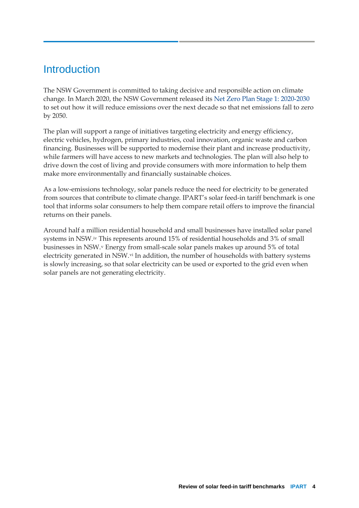### **Introduction**

The NSW Government is committed to taking decisive and responsible action on climate change. In March 2020, the NSW Government released its [Net Zero Plan Stage 1: 2020-2030](https://www.environment.nsw.gov.au/topics/climate-change/net-zero-plan) to set out how it will reduce emissions over the next decade so that net emissions fall to zero by 2050.

The plan will support a range of initiatives targeting electricity and energy efficiency, electric vehicles, hydrogen, primary industries, coal innovation, organic waste and carbon financing. Businesses will be supported to modernise their plant and increase productivity, while farmers will have access to new markets and technologies. The plan will also help to drive down the cost of living and provide consumers with more information to help them make more environmentally and financially sustainable choices.

As a low-emissions technology, solar panels reduce the need for electricity to be generated from sources that contribute to climate change. IPART's solar feed-in tariff benchmark is one tool that informs solar consumers to help them compare retail offers to improve the financial returns on their panels.

Around half a million residential household and small businesses have installed solar panel systems in NSW.[iv](#page-22-3) This represents around 15% of residential households and 3% of small businesses in NSW.[v](#page-22-4) Energy from small-scale solar panels makes up around 5% of total electricity generated in NSW.[vi](#page-22-5) In addition, the number of households with battery systems is slowly increasing, so that solar electricity can be used or exported to the grid even when solar panels are not generating electricity.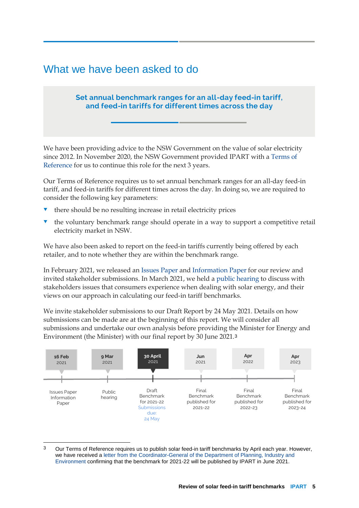### What we have been asked to do

### **Set annual benchmark ranges for an all-day feed-in tariff, and feed-in tariffs for different times across the day**

We have been providing advice to the NSW Government on the value of solar electricity since 2012. In November 2020, the NSW Government provided IPART with a [Terms of](https://www.ipart.nsw.gov.au/files/sharedassets/website/shared-files/pricing-reviews-energy-services-publications-solar-feed-in-tariffs-202122/terms-of-reference-solar-feed-in-tariffs-2020-21-27-november-2020.pdf)  [Reference](https://www.ipart.nsw.gov.au/files/sharedassets/website/shared-files/pricing-reviews-energy-services-publications-solar-feed-in-tariffs-202122/terms-of-reference-solar-feed-in-tariffs-2020-21-27-november-2020.pdf) for us to continue this role for the next 3 years.

Our Terms of Reference requires us to set annual benchmark ranges for an all-day feed-in tariff, and feed-in tariffs for different times across the day. In doing so, we are required to consider the following key parameters:

- there should be no resulting increase in retail electricity prices
- the voluntary benchmark range should operate in a way to support a competitive retail electricity market in NSW.

We have also been asked to report on the feed-in tariffs currently being offered by each retailer, and to note whether they are within the benchmark range.

In February 2021, we released an [Issues Paper](https://www.ipart.nsw.gov.au/files/sharedassets/website/shared-files/pricing-reviews-energy-services-publications-solar-feed-in-tariffs-202122/issues-paper-solar-feed-in-tariff-benchmarks-february-2021.pdf) and [Information Paper](https://www.ipart.nsw.gov.au/files/sharedassets/website/shared-files/pricing-reviews-energy-services-publications-solar-feed-in-tariffs-202122/information-paper-solar-feed-in-tariff-benchmarks-february-2021.pdf) for our review and invited stakeholder submissions. In March 2021, we held a [public hearing](https://www.ipart.nsw.gov.au/Home/Industries/Energy/Reviews/Electricity/Solar-feed-in-tariff-benchmarks-2021-22-to-2023-24/Online-public-hearing-for-Solar-feed-in-tariff-benchmarks) to discuss with stakeholders issues that consumers experience when dealing with solar energy, and their views on our approach in calculating our feed-in tariff benchmarks.

We invite stakeholder submissions to our Draft Report by 24 May 2021. Details on how submissions can be made are at the beginning of this report. We will consider all submissions and undertake our own analysis before providing the Minister for Energy and Environment (the Minister) with our final report by 30 June 2021.[3](#page-7-0)



<span id="page-7-0"></span> <sup>3</sup> Our Terms of Reference requires us to publish solar feed-in tariff benchmarks by April each year. However, we have received a [letter from the Coordinator-General of the Department of Planning, Industry and](https://www.ipart.nsw.gov.au/files/sharedassets/website/shared-files/pricing-reviews-energy-services-publications-solar-feed-in-tariffs-202122/revised-tor-solar-feed-in-tariff-benchmarks-2021-22-to-2023-24-january-2021-%5bw211525%5d.pdf)  [Environment](https://www.ipart.nsw.gov.au/files/sharedassets/website/shared-files/pricing-reviews-energy-services-publications-solar-feed-in-tariffs-202122/revised-tor-solar-feed-in-tariff-benchmarks-2021-22-to-2023-24-january-2021-%5bw211525%5d.pdf) confirming that the benchmark for 2021-22 will be published by IPART in June 2021.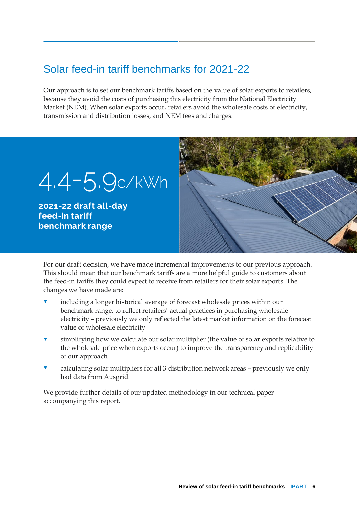# Solar feed-in tariff benchmarks for 2021-22

Our approach is to set our benchmark tariffs based on the value of solar exports to retailers, because they avoid the costs of purchasing this electricity from the National Electricity Market (NEM). When solar exports occur, retailers avoid the wholesale costs of electricity, transmission and distribution losses, and NEM fees and charges.



For our draft decision, we have made incremental improvements to our previous approach. This should mean that our benchmark tariffs are a more helpful guide to customers about the feed-in tariffs they could expect to receive from retailers for their solar exports. The changes we have made are:

- including a longer historical average of forecast wholesale prices within our benchmark range, to reflect retailers' actual practices in purchasing wholesale electricity – previously we only reflected the latest market information on the forecast value of wholesale electricity
- simplifying how we calculate our solar multiplier (the value of solar exports relative to the wholesale price when exports occur) to improve the transparency and replicability of our approach
- calculating solar multipliers for all 3 distribution network areas previously we only had data from Ausgrid.

We provide further details of our updated methodology in our technical paper accompanying this report.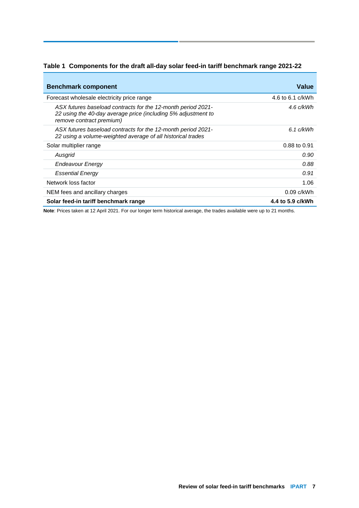|  |  |  |  | Table 1 Components for the draft all-day solar feed-in tariff benchmark range 2021-22 |
|--|--|--|--|---------------------------------------------------------------------------------------|
|--|--|--|--|---------------------------------------------------------------------------------------|

| <b>Benchmark component</b>                                                                                                                                | <b>Value</b>     |
|-----------------------------------------------------------------------------------------------------------------------------------------------------------|------------------|
| Forecast wholesale electricity price range                                                                                                                | 4.6 to 6.1 c/kWh |
| ASX futures baseload contracts for the 12-month period 2021-<br>22 using the 40-day average price (including 5% adjustment to<br>remove contract premium) | 4.6 c/kWh        |
| ASX futures baseload contracts for the 12-month period 2021-<br>22 using a volume-weighted average of all historical trades                               | $6.1$ c/kWh      |
| Solar multiplier range                                                                                                                                    | 0.88 to 0.91     |
| Ausgrid                                                                                                                                                   | 0.90             |
| Endeavour Energy                                                                                                                                          | 0.88             |
| <b>Essential Energy</b>                                                                                                                                   | 0.91             |
| Network loss factor                                                                                                                                       | 1.06             |
| NEM fees and ancillary charges                                                                                                                            | $0.09$ c/kWh     |
| Solar feed-in tariff benchmark range                                                                                                                      | 4.4 to 5.9 c/kWh |

**Note**: Prices taken at 12 April 2021. For our longer term historical average, the trades available were up to 21 months.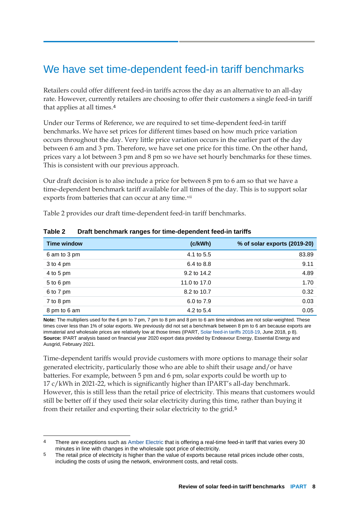### We have set time-dependent feed-in tariff benchmarks

Retailers could offer different feed-in tariffs across the day as an alternative to an all-day rate. However, currently retailers are choosing to offer their customers a single feed-in tariff that applies at all times.[4](#page-10-0)

Under our Terms of Reference, we are required to set time-dependent feed-in tariff benchmarks. We have set prices for different times based on how much price variation occurs throughout the day. Very little price variation occurs in the earlier part of the day between 6 am and 3 pm. Therefore, we have set one price for this time. On the other hand, prices vary a lot between 3 pm and 8 pm so we have set hourly benchmarks for these times. This is consistent with our previous approach.

Our draft decision is to also include a price for between 8 pm to 6 am so that we have a time-dependent benchmark tariff available for all times of the day. This is to support solar exports from batteries that can occur at any time.<sup>[vii](#page-22-6)</sup>

Table 2 provides our draft time-dependent feed-in tariff benchmarks.

| <b>Time window</b> | (c/kWh)      | % of solar exports (2019-20) |
|--------------------|--------------|------------------------------|
| 6 am to 3 pm       | 4.1 to 5.5   | 83.89                        |
| $3$ to 4 pm        | 6.4 to 8.8   | 9.11                         |
| 4 to 5 pm          | 9.2 to 14.2  | 4.89                         |
| 5 to 6 pm          | 11.0 to 17.0 | 1.70                         |
| 6 to 7 pm          | 8.2 to 10.7  | 0.32                         |
| 7 to 8 pm          | 6.0 to 7.9   | 0.03                         |
| 8 pm to 6 am       | 4.2 to 5.4   | 0.05                         |

#### **Table 2 Draft benchmark ranges for time-dependent feed-in tariffs**

**Note:** The multipliers used for the 6 pm to 7 pm, 7 pm to 8 pm and 8 pm to 6 am time windows are not solar-weighted. These times cover less than 1% of solar exports. We previously did not set a benchmark between 8 pm to 6 am because exports are immaterial and wholesale prices are relatively low at those times (IPART[, Solar feed-in tariffs 2018-19,](https://www.ipart.nsw.gov.au/files/sharedassets/website/shared-files/pricing-reviews-energy-services-publications-solar-feed-in-tariffs-201819/final-report-solar-feed-in-tariff-benchmarks-201819-june-2018.pdf) June 2018, p 8). **Source:** IPART analysis based on financial year 2020 export data provided by Endeavour Energy, Essential Energy and Ausgrid, February 2021.

Time-dependent tariffs would provide customers with more options to manage their solar generated electricity, particularly those who are able to shift their usage and/or have batteries. For example, between 5 pm and 6 pm, solar exports could be worth up to 17 c/kWh in 2021-22, which is significantly higher than IPART's all-day benchmark. However, this is still less than the retail price of electricity. This means that customers would still be better off if they used their solar electricity during this time, rather than buying it from their retailer and exporting their solar electricity to the grid.[5](#page-10-1)

<span id="page-10-0"></span> <sup>4</sup> There are exceptions such as [Amber Electric](https://www.amberelectric.com.au/solar) that is offering a real-time feed-in tariff that varies every 30 minutes in line with changes in the wholesale spot price of electricity.

<span id="page-10-1"></span><sup>5</sup> The retail price of electricity is higher than the value of exports because retail prices include other costs, including the costs of using the network, environment costs, and retail costs.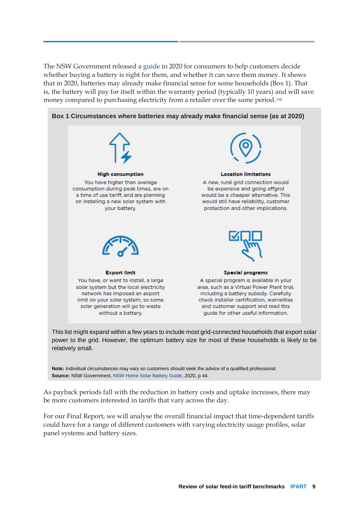The NSW Government released a [guide i](https://energysaver.nsw.gov.au/media/2051/download)n 2020 for consumers to help customers decide whether buying a battery is right for them, and whether it can save them money. It shows that in 2020, batteries may already make financial sense for some households (Box 1). That is, the battery will pay for itself within the warranty period (typically 10 years) and will save money compared to purchasing electricity from a retailer over the same period.<sup>[viii](#page-22-7)</sup>



This list might expand within a few years to include most grid-connected households that export solar power to the grid. However, the optimum battery size for most of these households is likely to be relatively small.

**Note:** Individual circumstances may vary so customers should seek the advice of a qualified professional. **Source:** NSW Government[, NSW Home Solar Battery Guide,](https://energysaver.nsw.gov.au/media/2051/download) 2020, p 44.

As payback periods fall with the reduction in battery costs and uptake increases, there may be more customers interested in tariffs that vary across the day.

For our Final Report, we will analyse the overall financial impact that time-dependent tariffs could have for a range of different customers with varying electricity usage profiles, solar panel systems and battery sizes.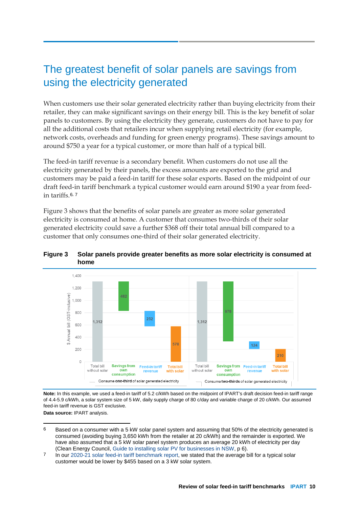### The greatest benefit of solar panels are savings from using the electricity generated

When customers use their solar generated electricity rather than buying electricity from their retailer, they can make significant savings on their energy bill. This is the key benefit of solar panels to customers. By using the electricity they generate, customers do not have to pay for all the additional costs that retailers incur when supplying retail electricity (for example, network costs, overheads and funding for green energy programs). These savings amount to around \$750 a year for a typical customer, or more than half of a typical bill.

The feed-in tariff revenue is a secondary benefit. When customers do not use all the electricity generated by their panels, the excess amounts are exported to the grid and customers may be paid a feed-in tariff for these solar exports. Based on the midpoint of our draft feed-in tariff benchmark a typical customer would earn around \$190 a year from feedin tariffs.[6](#page-12-0), [7](#page-12-1)

Figure 3 shows that the benefits of solar panels are greater as more solar generated electricity is consumed at home. A customer that consumes two-thirds of their solar generated electricity could save a further \$368 off their total annual bill compared to a customer that only consumes one-third of their solar generated electricity.



**Figure 3 Solar panels provide greater benefits as more solar electricity is consumed at home**

**Note:** In this example, we used a feed-in tariff of 5.2 c/kWh based on the midpoint of IPART's draft decision feed-in tariff range of 4.4-5.9 c/kWh, a solar system size of 5 kW, daily supply charge of 80 c/day and variable charge of 20 c/kWh. Our assumed feed-in tariff revenue is GST exclusive.

**Data source:** IPART analysis.

- <span id="page-12-0"></span> 6 Based on a consumer with a 5 kW solar panel system and assuming that 50% of the electricity generated is consumed (avoiding buying 3,650 kWh from the retailer at 20 c/kWh) and the remainder is exported. We have also assumed that a 5 kW solar panel system produces an average 20 kWh of electricity per day (Clean Energy Council, [Guide to installing solar PV for businesses in NSW,](https://assets.cleanenergycouncil.org.au/documents/consumers/CEC_SOLAR_BUS_NSWv10_JUNE2020v2_WEB.pdf) p 6).
- <span id="page-12-1"></span>7 In our [2020-21 solar feed-in tariff benchmark report,](https://www.ipart.nsw.gov.au/files/sharedassets/website/shared-files/pricing-reviews-energy-services-publications-solar-feed-in-tariffs-202021/final-report-solar-feed-in-tariffs-202021-april-2020.pdf) we stated that the average bill for a typical solar customer would be lower by \$455 based on a 3 kW solar system.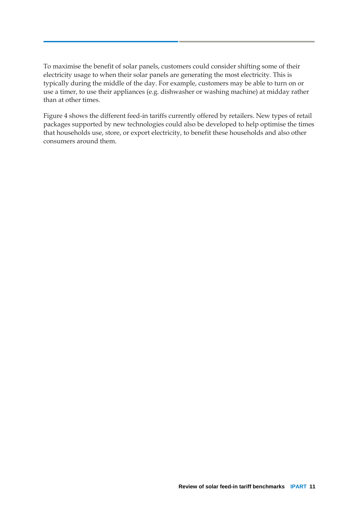To maximise the benefit of solar panels, customers could consider shifting some of their electricity usage to when their solar panels are generating the most electricity. This is typically during the middle of the day. For example, customers may be able to turn on or use a timer, to use their appliances (e.g. dishwasher or washing machine) at midday rather than at other times.

Figure 4 shows the different feed-in tariffs currently offered by retailers. New types of retail packages supported by new technologies could also be developed to help optimise the times that households use, store, or export electricity, to benefit these households and also other consumers around them.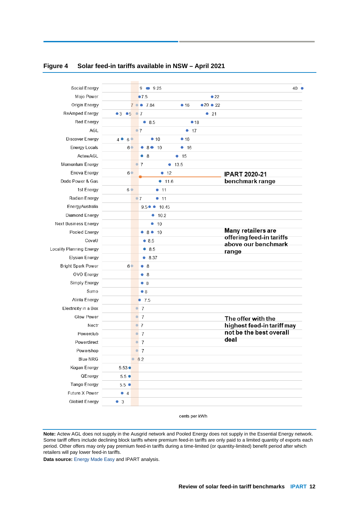| Social Energy                  |                        | 9<br>9.25                                            | 40 ●                                            |
|--------------------------------|------------------------|------------------------------------------------------|-------------------------------------------------|
| Mojo Power                     |                        | •7.5<br>$\bullet$ 22                                 |                                                 |
| Origin Energy                  |                        | $\bullet$ 20 $\bullet$ 22<br>$7 \bullet 7.84$<br>•16 |                                                 |
| ReAmped Energy                 | •3 •5 •7               | •21                                                  |                                                 |
| Red Energy                     |                        | ۰                                                    |                                                 |
|                                |                        | 8.5<br>•18                                           |                                                 |
| AGL                            |                        | $\bullet$ 7<br>• 17                                  |                                                 |
| Discover Energy                | 4 • 6 •                | • 10<br>•16                                          |                                                 |
| <b>Energy Locals</b>           | 6 <sup>o</sup>         | 8010<br>• 16                                         |                                                 |
| ActewAGL                       |                        | $\bullet$ 8<br>• 15                                  |                                                 |
| Momentum Energy                |                        | $^{\circ}$ 7<br>• 13.5                               |                                                 |
| Enova Energy                   | 6 <sup>o</sup>         | • 12                                                 | <b>IPART 2020-21</b>                            |
| Dodo Power & Gas               |                        | • 11.6                                               | benchmark range                                 |
| 1st Energy                     | 6 <sup>o</sup>         | • 11                                                 |                                                 |
| Radian Energy                  |                        | $^{\circ}7$<br>• 11                                  |                                                 |
| EnergyAustralia                |                        | $9.5 \bullet \bullet 10.45$                          |                                                 |
| Diamond Energy                 |                        | 10.2<br>$\bullet$                                    |                                                 |
| Next Business Energy           |                        | 10<br>۰                                              |                                                 |
| Pooled Energy                  |                        | 8010                                                 | Many retailers are                              |
| CovaU                          |                        | •8.5                                                 | offering feed-in tariffs<br>above our benchmark |
| Locality Planning Energy       |                        | • 8.5                                                | range                                           |
| <b>Elysian Energy</b>          |                        | • 8.37                                               |                                                 |
| <b>Bright Spark Power</b>      | 6 <sup>o</sup>         | •8                                                   |                                                 |
| <b>OVO Energy</b>              |                        | •8                                                   |                                                 |
| Simply Energy                  |                        | •8                                                   |                                                 |
| Sumo                           |                        | $\bullet$ 8                                          |                                                 |
| Alinta Energy                  |                        | $\bullet$ 7.5                                        |                                                 |
| Electricity in a Box           |                        | $^{\circ}$ 7                                         |                                                 |
| Glow Power                     |                        | $^{\circ}$ 7                                         | The offer with the                              |
| Nectr                          |                        | $^{\circ}$ 7                                         | highest feed-in tariff may                      |
| Powerclub                      |                        | $\overline{7}$<br>$\bullet$                          | not be the best overall                         |
| Powerdirect                    |                        | $^{\circ}$ 7                                         | deal                                            |
| Powershop                      |                        | 7<br>$\bullet$                                       |                                                 |
| <b>Blue NRG</b>                | $\bullet$              | 6.2                                                  |                                                 |
| Kogan Energy                   | $5.53 \bullet$         |                                                      |                                                 |
| QEnergy                        | $5.5 \bullet$          |                                                      |                                                 |
|                                |                        |                                                      |                                                 |
|                                |                        |                                                      |                                                 |
| Tango Energy<br>Future X Power | $5.5$ $\bullet$<br>• 4 |                                                      |                                                 |

#### **Figure 4 Solar feed-in tariffs available in NSW – April 2021**

cents per kWh

**Note:** Actew AGL does not supply in the Ausgrid network and Pooled Energy does not supply in the Essential Energy network. Some tariff offers include declining block tariffs where premium feed-in tariffs are only paid to a limited quantity of exports each period. Other offers may only pay premium feed-in tariffs during a time-limited (or quantity-limited) benefit period after which retailers will pay lower feed-in tariffs.

**Data source:** [Energy Made Easy](https://www.energymadeeasy.gov.au/) and IPART analysis.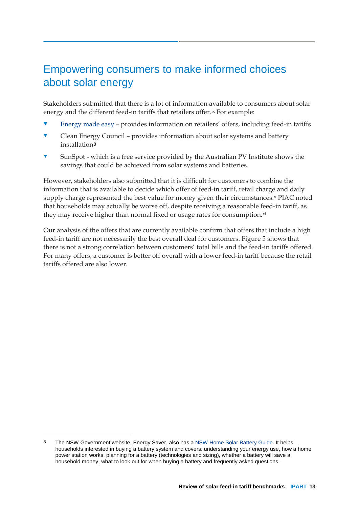## Empowering consumers to make informed choices about solar energy

Stakeholders submitted that there is a lot of information available to consumers about solar energy and the different feed-in tariffs that retailers offer.[ix](#page-22-8) For example:

- [Energy made easy](https://www.energymadeeasy.gov.au/) provides information on retailers' offers, including feed-in tariffs
- Clean Energy Council provides information about solar systems and battery installation[8](#page-15-0)
- SunSpot which is a free service provided by the Australian PV Institute shows the savings that could be achieved from solar systems and batteries.

However, stakeholders also submitted that it is difficult for customers to combine the information that is available to decide which offer of feed-in tariff, retail charge and daily supply charge represented the best value for money given their circumstances.<sup>[x](#page-22-9)</sup> PIAC noted that households may actually be worse off, despite receiving a reasonable feed-in tariff, as they may receive higher than normal fixed or usage rates for consumption.[xi](#page-22-10)

Our analysis of the offers that are currently available confirm that offers that include a high feed-in tariff are not necessarily the best overall deal for customers. Figure 5 shows that there is not a strong correlation between customers' total bills and the feed-in tariffs offered. For many offers, a customer is better off overall with a lower feed-in tariff because the retail tariffs offered are also lower.

<span id="page-15-0"></span><sup>8</sup> The NSW Government website, Energy Saver, also has a [NSW Home Solar Battery Guide.](https://energysaver.nsw.gov.au/households/solar-and-battery-power/solar-battery-systems) It helps households interested in buying a battery system and covers: understanding your energy use, how a home power station works, planning for a battery (technologies and sizing), whether a battery will save a household money, what to look out for when buying a battery and frequently asked questions.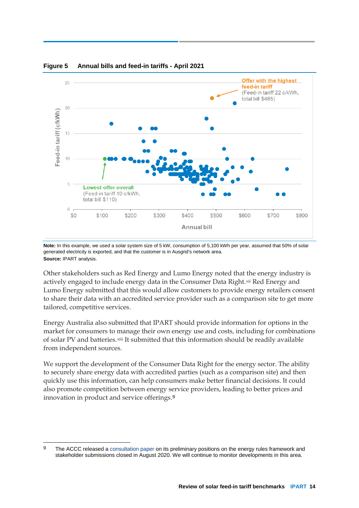

#### **Figure 5 Annual bills and feed-in tariffs - April 2021**

**Note:** In this example, we used a solar system size of 5 kW, consumption of 5,100 kWh per year, assumed that 50% of solar generated electricity is exported, and that the customer is in Ausgrid's network area. **Source:** IPART analysis.

Other stakeholders such as Red Energy and Lumo Energy noted that the energy industry is actively engaged to include energy data in the Consumer Data Right.[xii](#page-22-11) Red Energy and Lumo Energy submitted that this would allow customers to provide energy retailers consent to share their data with an accredited service provider such as a comparison site to get more tailored, competitive services.

Energy Australia also submitted that IPART should provide information for options in the market for consumers to manage their own energy use and costs, including for combinations of solar PV and batteries.[xiii](#page-22-12) It submitted that this information should be readily available from independent sources.

We support the development of the Consumer Data Right for the energy sector. The ability to securely share energy data with accredited parties (such as a comparison site) and then quickly use this information, can help consumers make better financial decisions. It could also promote competition between energy service providers, leading to better prices and innovation in product and service offerings.[9](#page-16-0)

<span id="page-16-0"></span><sup>9</sup> The ACCC released a [consultation paper](https://www.accc.gov.au/focus-areas/consumer-data-right-cdr/cdr-in-the-energy-sector/energy-rules-framework-consultation) on its preliminary positions on the energy rules framework and stakeholder submissions closed in August 2020. We will continue to monitor developments in this area.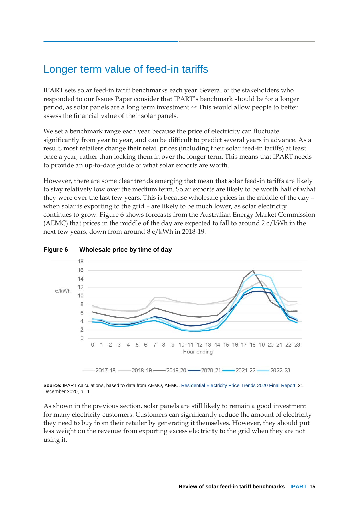# Longer term value of feed-in tariffs

IPART sets solar feed-in tariff benchmarks each year. Several of the stakeholders who responded to our Issues Paper consider that IPART's benchmark should be for a longer period, as solar panels are a long term investment.[xiv](#page-22-13) This would allow people to better assess the financial value of their solar panels.

We set a benchmark range each year because the price of electricity can fluctuate significantly from year to year, and can be difficult to predict several years in advance. As a result, most retailers change their retail prices (including their solar feed-in tariffs) at least once a year, rather than locking them in over the longer term. This means that IPART needs to provide an up-to-date guide of what solar exports are worth.

However, there are some clear trends emerging that mean that solar feed-in tariffs are likely to stay relatively low over the medium term. Solar exports are likely to be worth half of what they were over the last few years. This is because wholesale prices in the middle of the day – when solar is exporting to the grid – are likely to be much lower, as solar electricity continues to grow. Figure 6 shows forecasts from the Australian Energy Market Commission (AEMC) that prices in the middle of the day are expected to fall to around  $2 c/kWh$  in the next few years, down from around 8 c/kWh in 2018-19.



#### **Figure 6 Wholesale price by time of day**

**Source:** IPART calculations, based to data from AEMO, AEMC[, Residential Electricity Price Trends 2020 Final Report,](https://www.aemc.gov.au/sites/default/files/2020-12/2020%20Residential%20Electricity%20Price%20Trends%20report%20-%2015122020.pdf) 21 December 2020, p 11.

As shown in the previous section, solar panels are still likely to remain a good investment for many electricity customers. Customers can significantly reduce the amount of electricity they need to buy from their retailer by generating it themselves. However, they should put less weight on the revenue from exporting excess electricity to the grid when they are not using it.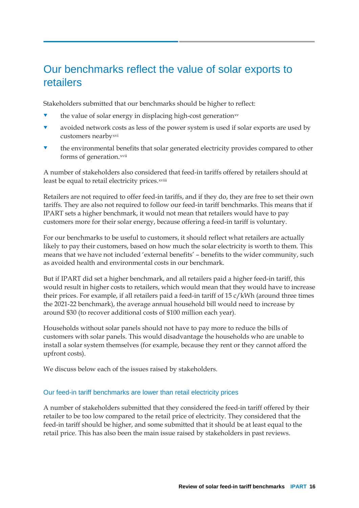### Our benchmarks reflect the value of solar exports to retailers

Stakeholders submitted that our benchmarks should be higher to reflect:

- the value of solar energy in displacing high-cost generation[xv](#page-22-14)
- avoided network costs as less of the power system is used if solar exports are used by customers nearby<sup>[xvi](#page-22-15)</sup>
- the environmental benefits that solar generated electricity provides compared to other forms of generation.<sup>[xvii](#page-22-16)</sup>

A number of stakeholders also considered that feed-in tariffs offered by retailers should at least be equal to retail electricity prices.xviii

Retailers are not required to offer feed-in tariffs, and if they do, they are free to set their own tariffs. They are also not required to follow our feed-in tariff benchmarks. This means that if IPART sets a higher benchmark, it would not mean that retailers would have to pay customers more for their solar energy, because offering a feed-in tariff is voluntary.

For our benchmarks to be useful to customers, it should reflect what retailers are actually likely to pay their customers, based on how much the solar electricity is worth to them. This means that we have not included 'external benefits' – benefits to the wider community, such as avoided health and environmental costs in our benchmark.

But if IPART did set a higher benchmark, and all retailers paid a higher feed-in tariff, this would result in higher costs to retailers, which would mean that they would have to increase their prices. For example, if all retailers paid a feed-in tariff of 15 c/kWh (around three times the 2021-22 benchmark), the average annual household bill would need to increase by around \$30 (to recover additional costs of \$100 million each year).

Households without solar panels should not have to pay more to reduce the bills of customers with solar panels. This would disadvantage the households who are unable to install a solar system themselves (for example, because they rent or they cannot afford the upfront costs).

We discuss below each of the issues raised by stakeholders.

#### Our feed-in tariff benchmarks are lower than retail electricity prices

A number of stakeholders submitted that they considered the feed-in tariff offered by their retailer to be too low compared to the retail price of electricity. They considered that the feed-in tariff should be higher, and some submitted that it should be at least equal to the retail price. This has also been the main issue raised by stakeholders in past reviews.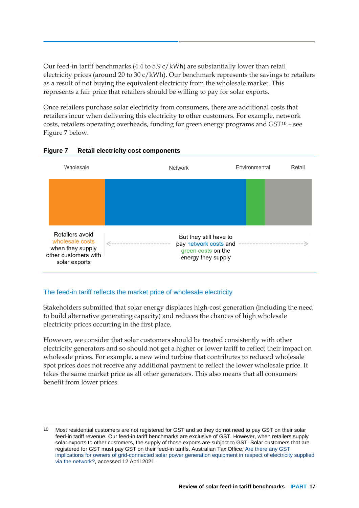Our feed-in tariff benchmarks (4.4 to  $5.9 \text{ c/kWh}$ ) are substantially lower than retail electricity prices (around 20 to 30  $c/kWh$ ). Our benchmark represents the savings to retailers as a result of not buying the equivalent electricity from the wholesale market. This represents a fair price that retailers should be willing to pay for solar exports.

Once retailers purchase solar electricity from consumers, there are additional costs that retailers incur when delivering this electricity to other customers. For example, network costs, retailers operating overheads, funding for green energy programs and GST[10](#page-19-0) – see Figure 7 below.



#### **Figure 7 Retail electricity cost components**

#### The feed-in tariff reflects the market price of wholesale electricity

Stakeholders submitted that solar energy displaces high-cost generation (including the need to build alternative generating capacity) and reduces the chances of high wholesale electricity prices occurring in the first place.

However, we consider that solar customers should be treated consistently with other electricity generators and so should not get a higher or lower tariff to reflect their impact on wholesale prices. For example, a new wind turbine that contributes to reduced wholesale spot prices does not receive any additional payment to reflect the lower wholesale price. It takes the same market price as all other generators. This also means that all consumers benefit from lower prices.

<span id="page-19-0"></span><sup>10</sup> Most residential customers are not registered for GST and so they do not need to pay GST on their solar feed-in tariff revenue. Our feed-in tariff benchmarks are exclusive of GST. However, when retailers supply solar exports to other customers, the supply of those exports are subject to GST. Solar customers that are registered for GST must pay GST on their feed-in tariffs. Australian Tax Office[, Are there any GST](https://www.ato.gov.au/business/gst/in-detail/gst-issues-registers/electricity-and-gas-industry-partnerships---issues-register/?page=1#1_Are_there_any_GST_implications_for_owners_of_grid_connected_solar_power_generation_equipment_in_respect_of_electricity_supplied_via_the_network_)  [implications for owners of grid-connected solar power generation equipment in respect of electricity supplied](https://www.ato.gov.au/business/gst/in-detail/gst-issues-registers/electricity-and-gas-industry-partnerships---issues-register/?page=1#1_Are_there_any_GST_implications_for_owners_of_grid_connected_solar_power_generation_equipment_in_respect_of_electricity_supplied_via_the_network_)  [via the network?,](https://www.ato.gov.au/business/gst/in-detail/gst-issues-registers/electricity-and-gas-industry-partnerships---issues-register/?page=1#1_Are_there_any_GST_implications_for_owners_of_grid_connected_solar_power_generation_equipment_in_respect_of_electricity_supplied_via_the_network_) accessed 12 April 2021.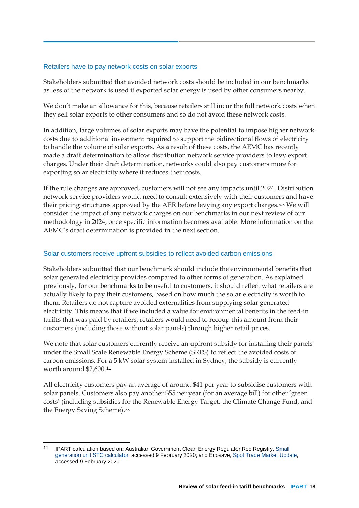#### Retailers have to pay network costs on solar exports

Stakeholders submitted that avoided network costs should be included in our benchmarks as less of the network is used if exported solar energy is used by other consumers nearby.

We don't make an allowance for this, because retailers still incur the full network costs when they sell solar exports to other consumers and so do not avoid these network costs.

In addition, large volumes of solar exports may have the potential to impose higher network costs due to additional investment required to support the bidirectional flows of electricity to handle the volume of solar exports. As a result of these costs, the AEMC has recently made a draft determination to allow distribution network service providers to levy export charges. Under their draft determination, networks could also pay customers more for exporting solar electricity where it reduces their costs.

If the rule changes are approved, customers will not see any impacts until 2024. Distribution network service providers would need to consult extensively with their customers and have their pricing structures approved by the AER before levying any export charges. [xix](#page-22-17) We will consider the impact of any network charges on our benchmarks in our next review of our methodology in 2024, once specific information becomes available. More information on the AEMC's draft determination is provided in the next section.

#### Solar customers receive upfront subsidies to reflect avoided carbon emissions

Stakeholders submitted that our benchmark should include the environmental benefits that solar generated electricity provides compared to other forms of generation. As explained previously, for our benchmarks to be useful to customers, it should reflect what retailers are actually likely to pay their customers, based on how much the solar electricity is worth to them. Retailers do not capture avoided externalities from supplying solar generated electricity. This means that if we included a value for environmental benefits in the feed-in tariffs that was paid by retailers, retailers would need to recoup this amount from their customers (including those without solar panels) through higher retail prices.

We note that solar customers currently receive an upfront subsidy for installing their panels under the Small Scale Renewable Energy Scheme (SRES) to reflect the avoided costs of carbon emissions. For a 5 kW solar system installed in Sydney, the subsidy is currently worth around \$2,600.[11](#page-20-0)

All electricity customers pay an average of around \$41 per year to subsidise customers with solar panels. Customers also pay another \$55 per year (for an average bill) for other 'green costs' (including subsidies for the Renewable Energy Target, the Climate Change Fund, and the Energy Saving Scheme).[xx](#page-22-18)

<span id="page-20-0"></span> <sup>11</sup> IPART calculation based on: Australian Government Clean Energy Regulator Rec Registry, [Small](https://www.rec-registry.gov.au/rec-registry/app/calculators/sgu-stc-calculator)  generation unit [STC calculator,](https://www.rec-registry.gov.au/rec-registry/app/calculators/sgu-stc-calculator) accessed 9 February 2020; and Ecosave[, Spot Trade Market Update,](https://ecosave.com.au/news-insights/spot-trade-market-update-environmental-certificate-scheme-prices-stcs-lgcs-veecs-and-escs-january-2021/) accessed 9 February 2020.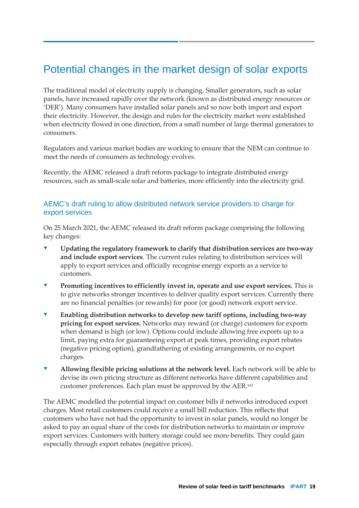# Potential changes in the market design of solar exports

The traditional model of electricity supply is changing. Smaller generators, such as solar panels, have increased rapidly over the network (known as distributed energy resources or 'DER'). Many consumers have installed solar panels and so now both import and export their electricity. However, the design and rules for the electricity market were established when electricity flowed in one direction, from a small number of large thermal generators to consumers.

Regulators and various market bodies are working to ensure that the NEM can continue to meet the needs of consumers as technology evolves.

Recently, the AEMC released a draft reform package to integrate distributed energy resources, such as small-scale solar and batteries, more efficiently into the electricity grid.

### AEMC's draft ruling to allow distributed network service providers to charge for export services

On 25 March 2021, the AEMC released its draft reform package comprising the following key changes:

- **Updating the regulatory framework to clarify that distribution services are two-way and include export services**. The current rules relating to distribution services will apply to export services and officially recognise energy exports as a service to customers.
- **Promoting incentives to efficiently invest in, operate and use export services.** This is to give networks stronger incentives to deliver quality export services. Currently there are no financial penalties (or rewards) for poor (or good) network export service.
- **Enabling distribution networks to develop new tariff options, including two-way pricing for export services.** Networks may reward (or charge) customers for exports when demand is high (or low). Options could include allowing free exports up to a limit, paying extra for guaranteeing export at peak times, providing export rebates (negative pricing option), grandfathering of existing arrangements, or no export charges.
- **Allowing flexible pricing solutions at the network level.** Each network will be able to devise its own pricing structure as different networks have different capabilities and customer preferences. Each plan must be approved by the AER.[xxi](#page-22-19)

The AEMC modelled the potential impact on customer bills if networks introduced export charges. Most retail customers could receive a small bill reduction. This reflects that customers who have not had the opportunity to invest in solar panels, would no longer be asked to pay an equal share of the costs for distribution networks to maintain or improve export services. Customers with battery storage could see more benefits. They could gain especially through export rebates (negative prices).